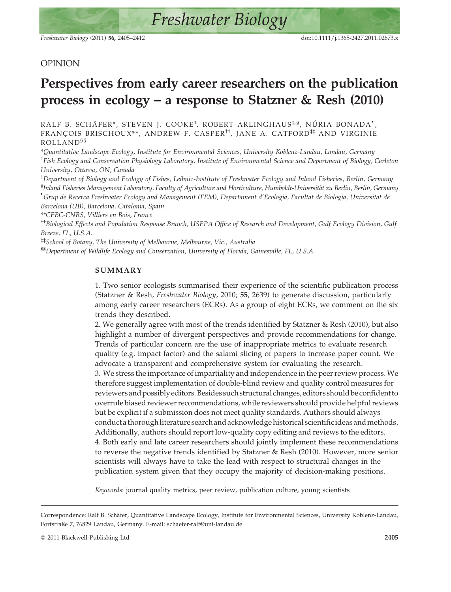## OPINION

# Perspectives from early career researchers on the publication process in ecology – a response to Statzner & Resh (2010)

Freshwater Biology

RALF B. SCHÄFER\*, STEVEN J. COOKE<sup>†</sup>, ROBERT ARLINGHAUS<sup>‡,§</sup>, NÚRIA BONADA<sup>¶</sup>, FRANÇOIS BRISCHOUX\*\*, ANDREW F. CASPER<sup>††</sup>, JANE A. CATFORD<sup>#‡</sup> AND VIRGINIE ROLLAND§ §

\*Quantitative Landscape Ecology, Institute for Environmental Sciences, University Koblenz-Landau, Landau, Germany † Fish Ecology and Conservation Physiology Laboratory, Institute of Environmental Science and Department of Biology, Carleton University, Ottawa, ON, Canada

‡ Department of Biology and Ecology of Fishes, Leibniz-Institute of Freshwater Ecology and Inland Fisheries, Berlin, Germany  $^{\$}$ Inland Fisheries Management Laboratory, Faculty of Agriculture and Horticulture, Humboldt-Universität zu Berlin, Berlin, Germany – Grup de Recerca Freshwater Ecology and Management (FEM), Departament d'Ecologia, Facultat de Biologia, Universitat de Barcelona (UB), Barcelona, Catalonia, Spain

\*\*CEBC-CNRS, Villiers en Bois, France

††Biological Effects and Population Response Branch, USEPA Office of Research and Development, Gulf Ecology Division, Gulf Breeze, FL, U.S.A.

‡‡School of Botany, The University of Melbourne, Melbourne, Vic., Australia

<sup>§§</sup>Department of Wildlife Ecology and Conservation, University of Florida, Gainesville, FL, U.S.A.

## **SUMMARY**

1. Two senior ecologists summarised their experience of the scientific publication process (Statzner & Resh, Freshwater Biology, 2010; 55, 2639) to generate discussion, particularly among early career researchers (ECRs). As a group of eight ECRs, we comment on the six trends they described.

2. We generally agree with most of the trends identified by Statzner & Resh (2010), but also highlight a number of divergent perspectives and provide recommendations for change. Trends of particular concern are the use of inappropriate metrics to evaluate research quality (e.g. impact factor) and the salami slicing of papers to increase paper count. We advocate a transparent and comprehensive system for evaluating the research. 3. We stress the importance of impartiality and independence in the peer review process. We

therefore suggest implementation of double-blind review and quality control measures for reviewers and possibly editors. Besides such structural changes, editors should be confident to overrule biased reviewer recommendations, while reviewers should provide helpful reviews but be explicit if a submission does not meet quality standards. Authors should always conductathorough literaturesearchandacknowledge historical scientificideasandmethods. Additionally, authors should report low-quality copy editing and reviews to the editors. 4. Both early and late career researchers should jointly implement these recommendations to reverse the negative trends identified by Statzner & Resh (2010). However, more senior scientists will always have to take the lead with respect to structural changes in the publication system given that they occupy the majority of decision-making positions.

Keywords: journal quality metrics, peer review, publication culture, young scientists

Correspondence: Ralf B. Schäfer, Quantitative Landscape Ecology, Institute for Environmental Sciences, University Koblenz-Landau, Fortstraße 7, 76829 Landau, Germany. E-mail: schaefer-ralf@uni-landau.de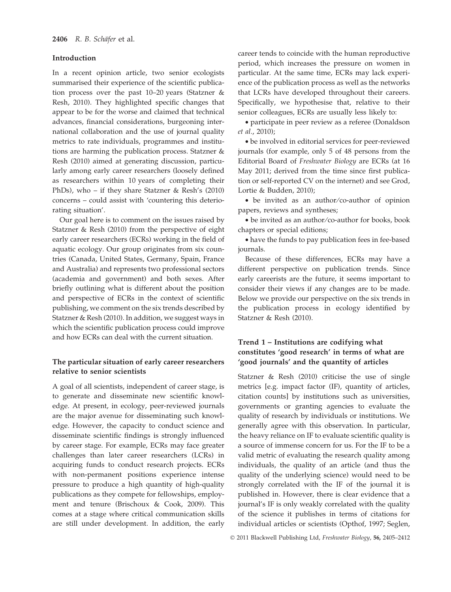#### Introduction

In a recent opinion article, two senior ecologists summarised their experience of the scientific publication process over the past 10–20 years (Statzner & Resh, 2010). They highlighted specific changes that appear to be for the worse and claimed that technical advances, financial considerations, burgeoning international collaboration and the use of journal quality metrics to rate individuals, programmes and institutions are harming the publication process. Statzner & Resh (2010) aimed at generating discussion, particularly among early career researchers (loosely defined as researchers within 10 years of completing their PhDs), who – if they share Statzner & Resh's (2010) concerns – could assist with 'countering this deteriorating situation'.

Our goal here is to comment on the issues raised by Statzner & Resh (2010) from the perspective of eight early career researchers (ECRs) working in the field of aquatic ecology. Our group originates from six countries (Canada, United States, Germany, Spain, France and Australia) and represents two professional sectors (academia and government) and both sexes. After briefly outlining what is different about the position and perspective of ECRs in the context of scientific publishing, we comment on the six trends described by Statzner & Resh (2010). In addition, we suggest ways in which the scientific publication process could improve and how ECRs can deal with the current situation.

## The particular situation of early career researchers relative to senior scientists

A goal of all scientists, independent of career stage, is to generate and disseminate new scientific knowledge. At present, in ecology, peer-reviewed journals are the major avenue for disseminating such knowledge. However, the capacity to conduct science and disseminate scientific findings is strongly influenced by career stage. For example, ECRs may face greater challenges than later career researchers (LCRs) in acquiring funds to conduct research projects. ECRs with non-permanent positions experience intense pressure to produce a high quantity of high-quality publications as they compete for fellowships, employment and tenure (Brischoux & Cook, 2009). This comes at a stage where critical communication skills are still under development. In addition, the early career tends to coincide with the human reproductive period, which increases the pressure on women in particular. At the same time, ECRs may lack experience of the publication process as well as the networks that LCRs have developed throughout their careers. Specifically, we hypothesise that, relative to their senior colleagues, ECRs are usually less likely to:

• participate in peer review as a referee (Donaldson et al., 2010);

• be involved in editorial services for peer-reviewed journals (for example, only 5 of 48 persons from the Editorial Board of Freshwater Biology are ECRs (at 16 May 2011; derived from the time since first publication or self-reported CV on the internet) and see Grod, Lortie & Budden, 2010);

• be invited as an author⁄ co-author of opinion papers, reviews and syntheses;

• be invited as an author⁄ co-author for books, book chapters or special editions;

• have the funds to pay publication fees in fee-based journals.

Because of these differences, ECRs may have a different perspective on publication trends. Since early careerists are the future, it seems important to consider their views if any changes are to be made. Below we provide our perspective on the six trends in the publication process in ecology identified by Statzner & Resh (2010).

# Trend 1 – Institutions are codifying what constitutes 'good research' in terms of what are 'good journals' and the quantity of articles

Statzner & Resh (2010) criticise the use of single metrics [e.g. impact factor (IF), quantity of articles, citation counts] by institutions such as universities, governments or granting agencies to evaluate the quality of research by individuals or institutions. We generally agree with this observation. In particular, the heavy reliance on IF to evaluate scientific quality is a source of immense concern for us. For the IF to be a valid metric of evaluating the research quality among individuals, the quality of an article (and thus the quality of the underlying science) would need to be strongly correlated with the IF of the journal it is published in. However, there is clear evidence that a journal's IF is only weakly correlated with the quality of the science it publishes in terms of citations for individual articles or scientists (Opthof, 1997; Seglen,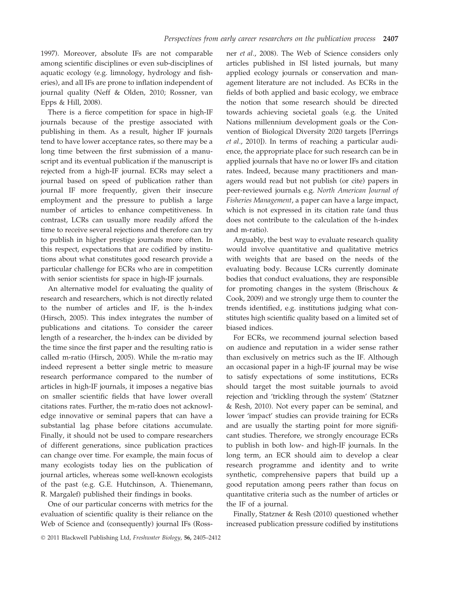1997). Moreover, absolute IFs are not comparable among scientific disciplines or even sub-disciplines of aquatic ecology (e.g. limnology, hydrology and fisheries), and all IFs are prone to inflation independent of journal quality (Neff & Olden, 2010; Rossner, van Epps & Hill, 2008).

There is a fierce competition for space in high-IF journals because of the prestige associated with publishing in them. As a result, higher IF journals tend to have lower acceptance rates, so there may be a long time between the first submission of a manuscript and its eventual publication if the manuscript is rejected from a high-IF journal. ECRs may select a journal based on speed of publication rather than journal IF more frequently, given their insecure employment and the pressure to publish a large number of articles to enhance competitiveness. In contrast, LCRs can usually more readily afford the time to receive several rejections and therefore can try to publish in higher prestige journals more often. In this respect, expectations that are codified by institutions about what constitutes good research provide a particular challenge for ECRs who are in competition with senior scientists for space in high-IF journals.

An alternative model for evaluating the quality of research and researchers, which is not directly related to the number of articles and IF, is the h-index (Hirsch, 2005). This index integrates the number of publications and citations. To consider the career length of a researcher, the h-index can be divided by the time since the first paper and the resulting ratio is called m-ratio (Hirsch, 2005). While the m-ratio may indeed represent a better single metric to measure research performance compared to the number of articles in high-IF journals, it imposes a negative bias on smaller scientific fields that have lower overall citations rates. Further, the m-ratio does not acknowledge innovative or seminal papers that can have a substantial lag phase before citations accumulate. Finally, it should not be used to compare researchers of different generations, since publication practices can change over time. For example, the main focus of many ecologists today lies on the publication of journal articles, whereas some well-known ecologists of the past (e.g. G.E. Hutchinson, A. Thienemann, R. Margalef) published their findings in books.

One of our particular concerns with metrics for the evaluation of scientific quality is their reliance on the Web of Science and (consequently) journal IFs (Rossner et al., 2008). The Web of Science considers only articles published in ISI listed journals, but many applied ecology journals or conservation and management literature are not included. As ECRs in the fields of both applied and basic ecology, we embrace the notion that some research should be directed towards achieving societal goals (e.g. the United Nations millennium development goals or the Convention of Biological Diversity 2020 targets [Perrings et al., 2010]). In terms of reaching a particular audience, the appropriate place for such research can be in applied journals that have no or lower IFs and citation rates. Indeed, because many practitioners and managers would read but not publish (or cite) papers in peer-reviewed journals e.g. North American Journal of Fisheries Management, a paper can have a large impact, which is not expressed in its citation rate (and thus does not contribute to the calculation of the h-index and m-ratio).

Arguably, the best way to evaluate research quality would involve quantitative and qualitative metrics with weights that are based on the needs of the evaluating body. Because LCRs currently dominate bodies that conduct evaluations, they are responsible for promoting changes in the system (Brischoux & Cook, 2009) and we strongly urge them to counter the trends identified, e.g. institutions judging what constitutes high scientific quality based on a limited set of biased indices.

For ECRs, we recommend journal selection based on audience and reputation in a wider sense rather than exclusively on metrics such as the IF. Although an occasional paper in a high-IF journal may be wise to satisfy expectations of some institutions, ECRs should target the most suitable journals to avoid rejection and 'trickling through the system' (Statzner & Resh, 2010). Not every paper can be seminal, and lower 'impact' studies can provide training for ECRs and are usually the starting point for more significant studies. Therefore, we strongly encourage ECRs to publish in both low- and high-IF journals. In the long term, an ECR should aim to develop a clear research programme and identity and to write synthetic, comprehensive papers that build up a good reputation among peers rather than focus on quantitative criteria such as the number of articles or the IF of a journal.

Finally, Statzner & Resh (2010) questioned whether increased publication pressure codified by institutions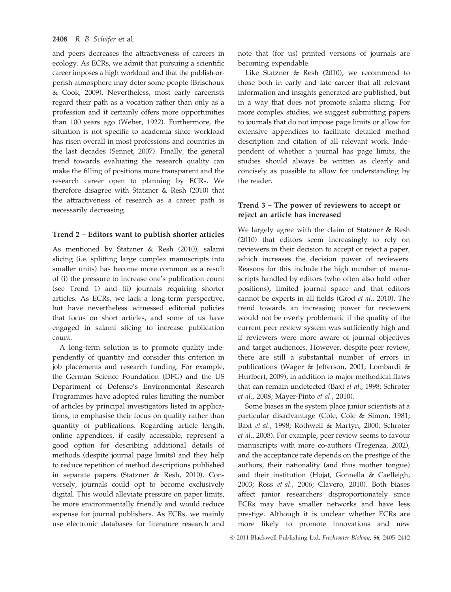#### 2408 R. B. Schäfer et al.

and peers decreases the attractiveness of careers in ecology. As ECRs, we admit that pursuing a scientific career imposes a high workload and that the publish-orperish atmosphere may deter some people (Brischoux & Cook, 2009). Nevertheless, most early careerists regard their path as a vocation rather than only as a profession and it certainly offers more opportunities than 100 years ago (Weber, 1922). Furthermore, the situation is not specific to academia since workload has risen overall in most professions and countries in the last decades (Sennet, 2007). Finally, the general trend towards evaluating the research quality can make the filling of positions more transparent and the research career open to planning by ECRs. We therefore disagree with Statzner & Resh (2010) that the attractiveness of research as a career path is necessarily decreasing.

#### Trend 2 – Editors want to publish shorter articles

As mentioned by Statzner & Resh (2010), salami slicing (i.e. splitting large complex manuscripts into smaller units) has become more common as a result of (i) the pressure to increase one's publication count (see Trend 1) and (ii) journals requiring shorter articles. As ECRs, we lack a long-term perspective, but have nevertheless witnessed editorial policies that focus on short articles, and some of us have engaged in salami slicing to increase publication count.

A long-term solution is to promote quality independently of quantity and consider this criterion in job placements and research funding. For example, the German Science Foundation (DFG) and the US Department of Defense's Environmental Research Programmes have adopted rules limiting the number of articles by principal investigators listed in applications, to emphasise their focus on quality rather than quantity of publications. Regarding article length, online appendices, if easily accessible, represent a good option for describing additional details of methods (despite journal page limits) and they help to reduce repetition of method descriptions published in separate papers (Statzner & Resh, 2010). Conversely, journals could opt to become exclusively digital. This would alleviate pressure on paper limits, be more environmentally friendly and would reduce expense for journal publishers. As ECRs, we mainly use electronic databases for literature research and note that (for us) printed versions of journals are becoming expendable.

Like Statzner & Resh (2010), we recommend to those both in early and late career that all relevant information and insights generated are published, but in a way that does not promote salami slicing. For more complex studies, we suggest submitting papers to journals that do not impose page limits or allow for extensive appendices to facilitate detailed method description and citation of all relevant work. Independent of whether a journal has page limits, the studies should always be written as clearly and concisely as possible to allow for understanding by the reader.

## Trend 3 – The power of reviewers to accept or reject an article has increased

We largely agree with the claim of Statzner & Resh (2010) that editors seem increasingly to rely on reviewers in their decision to accept or reject a paper, which increases the decision power of reviewers. Reasons for this include the high number of manuscripts handled by editors (who often also hold other positions), limited journal space and that editors cannot be experts in all fields (Grod et al., 2010). The trend towards an increasing power for reviewers would not be overly problematic if the quality of the current peer review system was sufficiently high and if reviewers were more aware of journal objectives and target audiences. However, despite peer review, there are still a substantial number of errors in publications (Wager & Jefferson, 2001; Lombardi & Hurlbert, 2009), in addition to major methodical flaws that can remain undetected (Baxt et al., 1998; Schroter et al., 2008; Mayer-Pinto et al., 2010).

Some biases in the system place junior scientists at a particular disadvantage (Cole, Cole & Simon, 1981; Baxt et al., 1998; Rothwell & Martyn, 2000; Schroter et al., 2008). For example, peer review seems to favour manuscripts with more co-authors (Tregenza, 2002), and the acceptance rate depends on the prestige of the authors, their nationality (and thus mother tongue) and their institution (Hojat, Gonnella & Caelleigh, 2003; Ross et al., 2006; Clavero, 2010). Both biases affect junior researchers disproportionately since ECRs may have smaller networks and have less prestige. Although it is unclear whether ECRs are more likely to promote innovations and new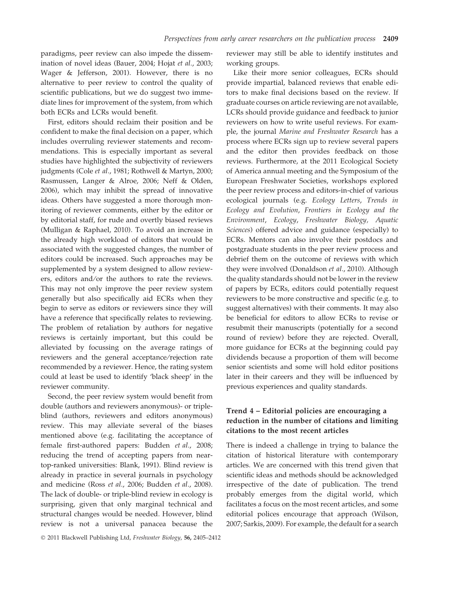paradigms, peer review can also impede the dissemination of novel ideas (Bauer, 2004; Hojat et al., 2003; Wager & Jefferson, 2001). However, there is no alternative to peer review to control the quality of scientific publications, but we do suggest two immediate lines for improvement of the system, from which both ECRs and LCRs would benefit.

First, editors should reclaim their position and be confident to make the final decision on a paper, which includes overruling reviewer statements and recommendations. This is especially important as several studies have highlighted the subjectivity of reviewers judgments (Cole et al., 1981; Rothwell & Martyn, 2000; Rasmussen, Langer & Alroe, 2006; Neff & Olden, 2006), which may inhibit the spread of innovative ideas. Others have suggested a more thorough monitoring of reviewer comments, either by the editor or by editorial staff, for rude and overtly biased reviews (Mulligan & Raphael, 2010). To avoid an increase in the already high workload of editors that would be associated with the suggested changes, the number of editors could be increased. Such approaches may be supplemented by a system designed to allow reviewers, editors and⁄or the authors to rate the reviews. This may not only improve the peer review system generally but also specifically aid ECRs when they begin to serve as editors or reviewers since they will have a reference that specifically relates to reviewing. The problem of retaliation by authors for negative reviews is certainly important, but this could be alleviated by focussing on the average ratings of reviewers and the general acceptance/rejection rate recommended by a reviewer. Hence, the rating system could at least be used to identify 'black sheep' in the reviewer community.

Second, the peer review system would benefit from double (authors and reviewers anonymous)- or tripleblind (authors, reviewers and editors anonymous) review. This may alleviate several of the biases mentioned above (e.g. facilitating the acceptance of female first-authored papers: Budden et al., 2008; reducing the trend of accepting papers from neartop-ranked universities: Blank, 1991). Blind review is already in practice in several journals in psychology and medicine (Ross et al., 2006; Budden et al., 2008). The lack of double- or triple-blind review in ecology is surprising, given that only marginal technical and structural changes would be needed. However, blind review is not a universal panacea because the

© 2011 Blackwell Publishing Ltd, Freshwater Biology, 56, 2405-2412

reviewer may still be able to identify institutes and working groups.

Like their more senior colleagues, ECRs should provide impartial, balanced reviews that enable editors to make final decisions based on the review. If graduate courses on article reviewing are not available, LCRs should provide guidance and feedback to junior reviewers on how to write useful reviews. For example, the journal Marine and Freshwater Research has a process where ECRs sign up to review several papers and the editor then provides feedback on those reviews. Furthermore, at the 2011 Ecological Society of America annual meeting and the Symposium of the European Freshwater Societies, workshops explored the peer review process and editors-in-chief of various ecological journals (e.g. Ecology Letters, Trends in Ecology and Evolution, Frontiers in Ecology and the Environment, Ecology, Freshwater Biology, Aquatic Sciences) offered advice and guidance (especially) to ECRs. Mentors can also involve their postdocs and postgraduate students in the peer review process and debrief them on the outcome of reviews with which they were involved (Donaldson et al., 2010). Although the quality standards should not be lower in the review of papers by ECRs, editors could potentially request reviewers to be more constructive and specific (e.g. to suggest alternatives) with their comments. It may also be beneficial for editors to allow ECRs to revise or resubmit their manuscripts (potentially for a second round of review) before they are rejected. Overall, more guidance for ECRs at the beginning could pay dividends because a proportion of them will become senior scientists and some will hold editor positions later in their careers and they will be influenced by previous experiences and quality standards.

## Trend 4 – Editorial policies are encouraging a reduction in the number of citations and limiting citations to the most recent articles

There is indeed a challenge in trying to balance the citation of historical literature with contemporary articles. We are concerned with this trend given that scientific ideas and methods should be acknowledged irrespective of the date of publication. The trend probably emerges from the digital world, which facilitates a focus on the most recent articles, and some editorial polices encourage that approach (Wilson, 2007; Sarkis, 2009). For example, the default for a search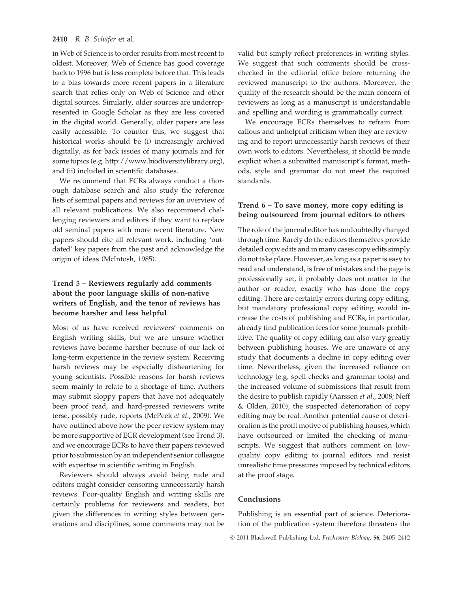## 2410 R. B. Schäfer et al.

in Web of Science is to order results from most recent to oldest. Moreover, Web of Science has good coverage back to 1996 but is less complete before that. This leads to a bias towards more recent papers in a literature search that relies only on Web of Science and other digital sources. Similarly, older sources are underrepresented in Google Scholar as they are less covered in the digital world. Generally, older papers are less easily accessible. To counter this, we suggest that historical works should be (i) increasingly archived digitally, as for back issues of many journals and for some topics (e.g. http://www.biodiversitylibrary.org), and (ii) included in scientific databases.

We recommend that ECRs always conduct a thorough database search and also study the reference lists of seminal papers and reviews for an overview of all relevant publications. We also recommend challenging reviewers and editors if they want to replace old seminal papers with more recent literature. New papers should cite all relevant work, including 'outdated' key papers from the past and acknowledge the origin of ideas (McIntosh, 1985).

# Trend 5 – Reviewers regularly add comments about the poor language skills of non-native writers of English, and the tenor of reviews has become harsher and less helpful

Most of us have received reviewers' comments on English writing skills, but we are unsure whether reviews have become harsher because of our lack of long-term experience in the review system. Receiving harsh reviews may be especially disheartening for young scientists. Possible reasons for harsh reviews seem mainly to relate to a shortage of time. Authors may submit sloppy papers that have not adequately been proof read, and hard-pressed reviewers write terse, possibly rude, reports (McPeek et al., 2009). We have outlined above how the peer review system may be more supportive of ECR development (see Trend 3), and we encourage ECRs to have their papers reviewed prior to submission by an independent senior colleague with expertise in scientific writing in English.

Reviewers should always avoid being rude and editors might consider censoring unnecessarily harsh reviews. Poor-quality English and writing skills are certainly problems for reviewers and readers, but given the differences in writing styles between generations and disciplines, some comments may not be valid but simply reflect preferences in writing styles. We suggest that such comments should be crosschecked in the editorial office before returning the reviewed manuscript to the authors. Moreover, the quality of the research should be the main concern of reviewers as long as a manuscript is understandable and spelling and wording is grammatically correct.

We encourage ECRs themselves to refrain from callous and unhelpful criticism when they are reviewing and to report unnecessarily harsh reviews of their own work to editors. Nevertheless, it should be made explicit when a submitted manuscript's format, methods, style and grammar do not meet the required standards.

## Trend 6 – To save money, more copy editing is being outsourced from journal editors to others

The role of the journal editor has undoubtedly changed through time. Rarely do the editors themselves provide detailed copy edits and in many cases copy edits simply do not take place. However, as long as a paper is easy to read and understand, is free of mistakes and the page is professionally set, it probably does not matter to the author or reader, exactly who has done the copy editing. There are certainly errors during copy editing, but mandatory professional copy editing would increase the costs of publishing and ECRs, in particular, already find publication fees for some journals prohibitive. The quality of copy editing can also vary greatly between publishing houses. We are unaware of any study that documents a decline in copy editing over time. Nevertheless, given the increased reliance on technology (e.g. spell checks and grammar tools) and the increased volume of submissions that result from the desire to publish rapidly (Aarssen et al., 2008; Neff & Olden, 2010), the suspected deterioration of copy editing may be real. Another potential cause of deterioration is the profit motive of publishing houses, which have outsourced or limited the checking of manuscripts. We suggest that authors comment on lowquality copy editing to journal editors and resist unrealistic time pressures imposed by technical editors at the proof stage.

## Conclusions

Publishing is an essential part of science. Deterioration of the publication system therefore threatens the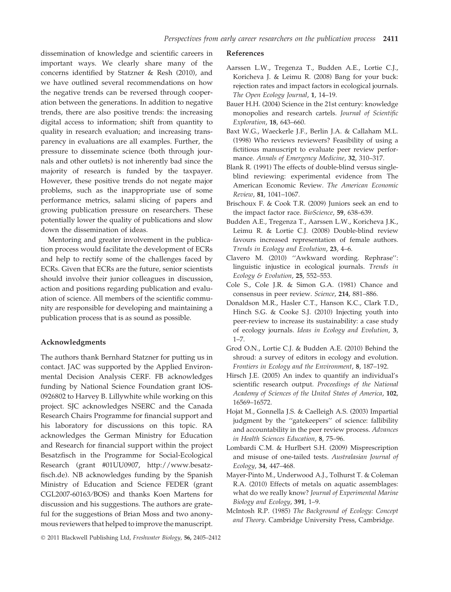dissemination of knowledge and scientific careers in important ways. We clearly share many of the concerns identified by Statzner & Resh (2010), and we have outlined several recommendations on how the negative trends can be reversed through cooperation between the generations. In addition to negative trends, there are also positive trends: the increasing digital access to information; shift from quantity to quality in research evaluation; and increasing transparency in evaluations are all examples. Further, the pressure to disseminate science (both through journals and other outlets) is not inherently bad since the majority of research is funded by the taxpayer. However, these positive trends do not negate major problems, such as the inappropriate use of some performance metrics, salami slicing of papers and growing publication pressure on researchers. These potentially lower the quality of publications and slow down the dissemination of ideas.

Mentoring and greater involvement in the publication process would facilitate the development of ECRs and help to rectify some of the challenges faced by ECRs. Given that ECRs are the future, senior scientists should involve their junior colleagues in discussion, action and positions regarding publication and evaluation of science. All members of the scientific community are responsible for developing and maintaining a publication process that is as sound as possible.

### Acknowledgments

The authors thank Bernhard Statzner for putting us in contact. JAC was supported by the Applied Environmental Decision Analysis CERF. FB acknowledges funding by National Science Foundation grant IOS-0926802 to Harvey B. Lillywhite while working on this project. SJC acknowledges NSERC and the Canada Research Chairs Programme for financial support and his laboratory for discussions on this topic. RA acknowledges the German Ministry for Education and Research for financial support within the project Besatzfisch in the Programme for Social-Ecological Research (grant #01UU0907, http://www.besatzfisch.de). NB acknowledges funding by the Spanish Ministry of Education and Science FEDER (grant CGL2007-60163/BOS) and thanks Koen Martens for discussion and his suggestions. The authors are grateful for the suggestions of Brian Moss and two anonymous reviewers that helped to improve the manuscript.

- Aarssen L.W., Tregenza T., Budden A.E., Lortie C.J., Koricheva J. & Leimu R. (2008) Bang for your buck: rejection rates and impact factors in ecological journals. The Open Ecology Journal, 1, 14–19.
- Bauer H.H. (2004) Science in the 21st century: knowledge monopolies and research cartels. Journal of Scientific Exploration, 18, 643–660.
- Baxt W.G., Waeckerle J.F., Berlin J.A. & Callaham M.L. (1998) Who reviews reviewers? Feasibility of using a fictitious manuscript to evaluate peer review performance. Annals of Emergency Medicine, 32, 310-317.
- Blank R. (1991) The effects of double-blind versus singleblind reviewing: experimental evidence from The American Economic Review. The American Economic Review, 81, 1041–1067.
- Brischoux F. & Cook T.R. (2009) Juniors seek an end to the impact factor race. BioScience, 59, 638–639.
- Budden A.E., Tregenza T., Aarssen L.W., Koricheva J.K., Leimu R. & Lortie C.J. (2008) Double-blind review favours increased representation of female authors. Trends in Ecology and Evolution, 23, 4–6.
- Clavero M. (2010) ''Awkward wording. Rephrase'': linguistic injustice in ecological journals. Trends in Ecology & Evolution,  $25$ , 552-553.
- Cole S., Cole J.R. & Simon G.A. (1981) Chance and consensus in peer review. Science, 214, 881–886.
- Donaldson M.R., Hasler C.T., Hanson K.C., Clark T.D., Hinch S.G. & Cooke S.J. (2010) Injecting youth into peer-review to increase its sustainability: a case study of ecology journals. Ideas in Ecology and Evolution, 3,  $1 - 7$ .
- Grod O.N., Lortie C.J. & Budden A.E. (2010) Behind the shroud: a survey of editors in ecology and evolution. Frontiers in Ecology and the Environment, 8, 187–192.
- Hirsch J.E. (2005) An index to quantify an individual's scientific research output. Proceedings of the National Academy of Sciences of the United States of America, 102, 16569–16572.
- Hojat M., Gonnella J.S. & Caelleigh A.S. (2003) Impartial judgment by the ''gatekeepers'' of science: fallibility and accountability in the peer review process. Advances in Health Sciences Education, 8, 75–96.
- Lombardi C.M. & Hurlbert S.H. (2009) Misprescription and misuse of one-tailed tests. Australasian Journal of Ecology, 34, 447–468.
- Mayer-Pinto M., Underwood A.J., Tolhurst T. & Coleman R.A. (2010) Effects of metals on aquatic assemblages: what do we really know? Journal of Experimental Marine Biology and Ecology, 391, 1–9.
- McIntosh R.P. (1985) The Background of Ecology: Concept and Theory. Cambridge University Press, Cambridge.

© 2011 Blackwell Publishing Ltd, Freshwater Biology, 56, 2405-2412